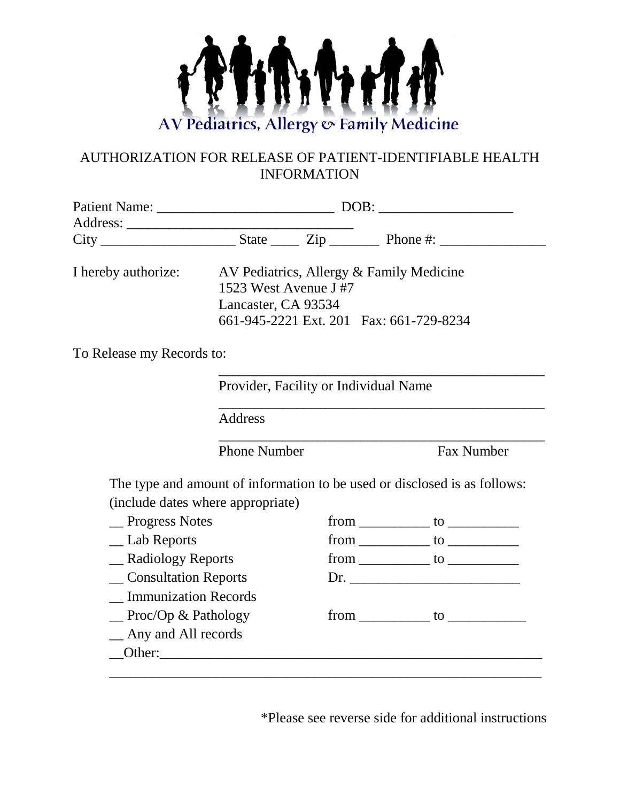

## AUTHORIZATION FOR RELEASE OF PATIENT-IDENTIFIABLE HEALTH INFORMATION

|                              | I hereby authorize: AV Pediatrics, Allergy & Family Medicine |  |                                                                           |  |
|------------------------------|--------------------------------------------------------------|--|---------------------------------------------------------------------------|--|
|                              | 1523 West Avenue J#7                                         |  |                                                                           |  |
|                              | Lancaster, CA 93534                                          |  |                                                                           |  |
|                              | 661-945-2221 Ext. 201 Fax: 661-729-8234                      |  |                                                                           |  |
| To Release my Records to:    |                                                              |  |                                                                           |  |
|                              | Provider, Facility or Individual Name                        |  |                                                                           |  |
|                              | <b>Address</b>                                               |  |                                                                           |  |
|                              | <b>Phone Number</b>                                          |  | <b>Fax Number</b>                                                         |  |
|                              |                                                              |  | The type and amount of information to be used or disclosed is as follows: |  |
|                              | (include dates where appropriate)                            |  |                                                                           |  |
| _Progress Notes              |                                                              |  |                                                                           |  |
| _ Lab Reports                |                                                              |  |                                                                           |  |
| __ Radiology Reports         |                                                              |  |                                                                           |  |
| _ Consultation Reports       |                                                              |  |                                                                           |  |
| <b>Immunization Records</b>  |                                                              |  |                                                                           |  |
| $\equiv$ Proc/Op & Pathology |                                                              |  | from to to                                                                |  |
| _ Any and All records        |                                                              |  |                                                                           |  |
|                              |                                                              |  |                                                                           |  |

\*Please see reverse side for additional instructions